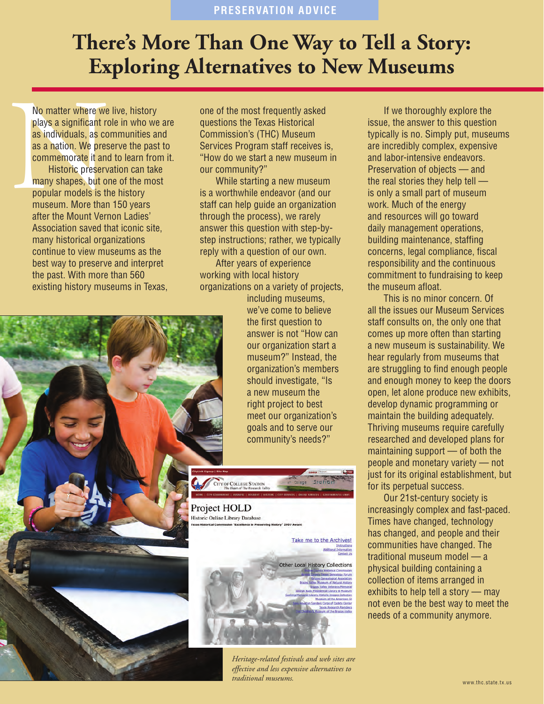## **There's More Than One Way to Tell a Story: Exploring Alternatives to New Museums**

No matter where we<br>plays a significant rc<br>as individuals, as co<br>as a nation. We pres<br>commemorate it and<br>Historic preserv<br>many shapes, but or<br>popular models is th<br>museum. More than<br>after the Mount Verr No matter where we live, history plays a significant role in who we are as individuals, as communities and as a nation. We preserve the past to commemorate it and to learn from it.

Historic preservation can take many shapes, but one of the most popular models is the history museum. More than 150 years after the Mount Vernon Ladies' Association saved that iconic site, many historical organizations continue to view museums as the best way to preserve and interpret the past. With more than 560 existing history museums in Texas,

one of the most frequently asked questions the Texas Historical Commission's (THC) Museum Services Program staff receives is, "How do we start a new museum in our community?"

While starting a new museum is a worthwhile endeavor (and our staff can help guide an organization through the process), we rarely answer this question with step-bystep instructions; rather, we typically reply with a question of our own.

After years of experience working with local history organizations on a variety of projects,

> including museums, we've come to believe the first question to answer is not "How can our organization start a museum?" Instead, the organization's members should investigate, "Is a new museum the right project to best meet our organization's goals and to serve our community's needs?"



*Heritage-related festivals and web sites are effective and less expensive alternatives to traditional museums.*

If we thoroughly explore the issue, the answer to this question typically is no. Simply put, museums are incredibly complex, expensive and labor-intensive endeavors. Preservation of objects — and the real stories they help tell is only a small part of museum work. Much of the energy and resources will go toward daily management operations, building maintenance, staffing concerns, legal compliance, fiscal responsibility and the continuous commitment to fundraising to keep the museum afloat.

This is no minor concern. Of all the issues our Museum Services staff consults on, the only one that comes up more often than starting a new museum is sustainability. We hear regularly from museums that are struggling to find enough people and enough money to keep the doors open, let alone produce new exhibits, develop dynamic programming or maintain the building adequately. Thriving museums require carefully researched and developed plans for maintaining support — of both the people and monetary variety — not just for its original establishment, but for its perpetual success.

Our 21st-century society is increasingly complex and fast-paced. Times have changed, technology has changed, and people and their communities have changed. The traditional museum model — a physical building containing a collection of items arranged in exhibits to help tell a story — may not even be the best way to meet the needs of a community anymore.

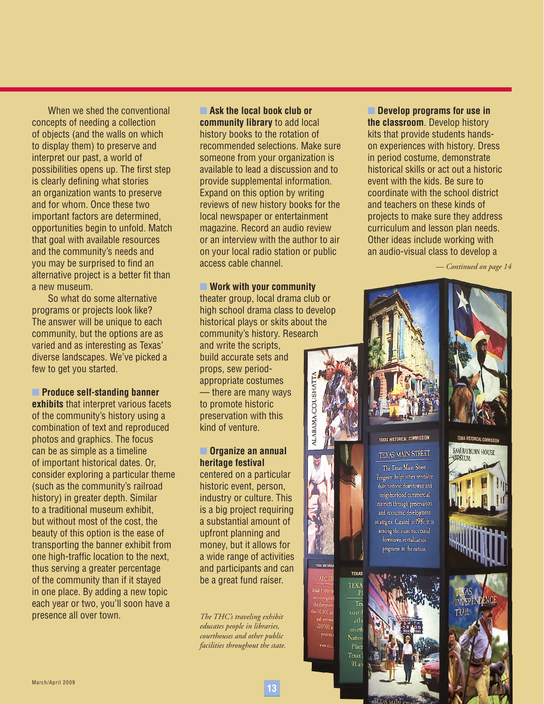When we shed the conventional concepts of needing a collection of objects (and the walls on which to display them) to preserve and interpret our past, a world of possibilities opens up. The first step is clearly defining what stories an organization wants to preserve and for whom. Once these two important factors are determined, opportunities begin to unfold. Match that goal with available resources and the community's needs and you may be surprised to find an alternative project is a better fit than a new museum.

So what do some alternative programs or projects look like? The answer will be unique to each community, but the options are as varied and as interesting as Texas' diverse landscapes. We've picked a few to get you started.

**n** Produce self-standing banner **exhibits** that interpret various facets

of the community's history using a combination of text and reproduced photos and graphics. The focus can be as simple as a timeline of important historical dates. Or, consider exploring a particular theme (such as the community's railroad history) in greater depth. Similar to a traditional museum exhibit, but without most of the cost, the beauty of this option is the ease of transporting the banner exhibit from one high-traffic location to the next, thus serving a greater percentage of the community than if it stayed in one place. By adding a new topic each year or two, you'll soon have a presence all over town.

**Example 13 Ask the local book club or community library** to add local history books to the rotation of recommended selections. Make sure someone from your organization is available to lead a discussion and to provide supplemental information. Expand on this option by writing reviews of new history books for the local newspaper or entertainment magazine. Record an audio review or an interview with the author to air on your local radio station or public access cable channel.

**■ Work with your community** theater group, local drama club or high school drama class to develop historical plays or skits about the community's history. Research and write the scripts, build accurate sets and props, sew periodappropriate costumes — there are many ways to promote historic preservation with this kind of venture.

## **n** Organize an annual **heritage festival**

centered on a particular historic event, person, industry or culture. This is a big project requiring a substantial amount of upfront planning and money, but it allows for a wide range of activities and participants and can be a great fund raiser.

*The THC's traveling exhibit educates people in libraries, courthouses and other public facilities throughout the state.* **■ Develop programs for use in the classroom**. Develop history kits that provide students handson experiences with history. Dress in period costume, demonstrate historical skills or act out a historic event with the kids. Be sure to coordinate with the school district and teachers on these kinds of projects to make sure they address curriculum and lesson plan needs. Other ideas include working with an audio-visual class to develop a

*— Continued on page 14*



 $10.00$  $200.0$